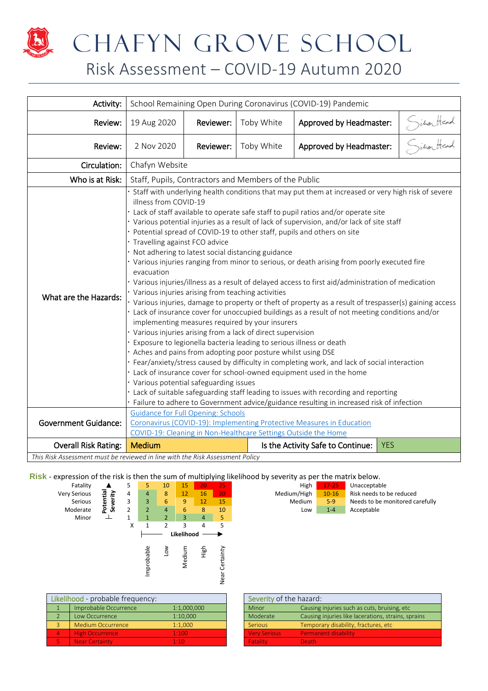

# CHAFYN GROVE SCHOOL

### Risk Assessment – COVID-19 Autumn 2020

| Activity:                                                                     |                                                         | School Remaining Open During Coronavirus (COVID-19) Pandemic                                                                                                                                                                                                                                                                                                                                                                                                                                                                                                                                                                                                                                                                                                                                                                                                                                                                                                                                                                                                                                                                                                                                                                                                                                                                                                                                                                                                                                                                                                                                                                                                                                    |                                                                |                                                                       |            |                           |  |  |
|-------------------------------------------------------------------------------|---------------------------------------------------------|-------------------------------------------------------------------------------------------------------------------------------------------------------------------------------------------------------------------------------------------------------------------------------------------------------------------------------------------------------------------------------------------------------------------------------------------------------------------------------------------------------------------------------------------------------------------------------------------------------------------------------------------------------------------------------------------------------------------------------------------------------------------------------------------------------------------------------------------------------------------------------------------------------------------------------------------------------------------------------------------------------------------------------------------------------------------------------------------------------------------------------------------------------------------------------------------------------------------------------------------------------------------------------------------------------------------------------------------------------------------------------------------------------------------------------------------------------------------------------------------------------------------------------------------------------------------------------------------------------------------------------------------------------------------------------------------------|----------------------------------------------------------------|-----------------------------------------------------------------------|------------|---------------------------|--|--|
| Review:                                                                       | 19 Aug 2020                                             | Reviewer:                                                                                                                                                                                                                                                                                                                                                                                                                                                                                                                                                                                                                                                                                                                                                                                                                                                                                                                                                                                                                                                                                                                                                                                                                                                                                                                                                                                                                                                                                                                                                                                                                                                                                       | Toby White                                                     | Approved by Headmaster:                                               |            | Situanticad<br>Gitar Head |  |  |
| Review:                                                                       | 2 Nov 2020                                              | Reviewer:                                                                                                                                                                                                                                                                                                                                                                                                                                                                                                                                                                                                                                                                                                                                                                                                                                                                                                                                                                                                                                                                                                                                                                                                                                                                                                                                                                                                                                                                                                                                                                                                                                                                                       | Toby White                                                     | Approved by Headmaster:                                               |            |                           |  |  |
| Circulation:                                                                  |                                                         | Chafyn Website                                                                                                                                                                                                                                                                                                                                                                                                                                                                                                                                                                                                                                                                                                                                                                                                                                                                                                                                                                                                                                                                                                                                                                                                                                                                                                                                                                                                                                                                                                                                                                                                                                                                                  |                                                                |                                                                       |            |                           |  |  |
| Who is at Risk:                                                               |                                                         |                                                                                                                                                                                                                                                                                                                                                                                                                                                                                                                                                                                                                                                                                                                                                                                                                                                                                                                                                                                                                                                                                                                                                                                                                                                                                                                                                                                                                                                                                                                                                                                                                                                                                                 |                                                                |                                                                       |            |                           |  |  |
| What are the Hazards:                                                         | evacuation<br><b>Guidance for Full Opening: Schools</b> | Staff, Pupils, Contractors and Members of the Public<br>Staff with underlying health conditions that may put them at increased or very high risk of severe<br>illness from COVID-19<br>· Lack of staff available to operate safe staff to pupil ratios and/or operate site<br>· Various potential injuries as a result of lack of supervision, and/or lack of site staff<br>· Potential spread of COVID-19 to other staff, pupils and others on site<br>· Travelling against FCO advice<br>· Not adhering to latest social distancing guidance<br>· Various injuries ranging from minor to serious, or death arising from poorly executed fire<br>· Various injuries/illness as a result of delayed access to first aid/administration of medication<br>• Various injuries arising from teaching activities<br>· Various injuries, damage to property or theft of property as a result of trespasser(s) gaining access<br>· Lack of insurance cover for unoccupied buildings as a result of not meeting conditions and/or<br>implementing measures required by your insurers<br>• Various injuries arising from a lack of direct supervision<br>· Exposure to legionella bacteria leading to serious illness or death<br>. Aches and pains from adopting poor posture whilst using DSE<br>· Fear/anxiety/stress caused by difficulty in completing work, and lack of social interaction<br>· Lack of insurance cover for school-owned equipment used in the home<br>· Various potential safeguarding issues<br>· Lack of suitable safeguarding staff leading to issues with recording and reporting<br>Failure to adhere to Government advice/guidance resulting in increased risk of infection |                                                                |                                                                       |            |                           |  |  |
| <b>Government Guidance:</b>                                                   |                                                         |                                                                                                                                                                                                                                                                                                                                                                                                                                                                                                                                                                                                                                                                                                                                                                                                                                                                                                                                                                                                                                                                                                                                                                                                                                                                                                                                                                                                                                                                                                                                                                                                                                                                                                 | COVID-19: Cleaning in Non-Healthcare Settings Outside the Home | Coronavirus (COVID-19): Implementing Protective Measures in Education |            |                           |  |  |
| <b>Overall Risk Rating:</b>                                                   | <b>Medium</b>                                           |                                                                                                                                                                                                                                                                                                                                                                                                                                                                                                                                                                                                                                                                                                                                                                                                                                                                                                                                                                                                                                                                                                                                                                                                                                                                                                                                                                                                                                                                                                                                                                                                                                                                                                 |                                                                | Is the Activity Safe to Continue:                                     | <b>YES</b> |                           |  |  |
| This Risk Assessment must be reviewed in line with the Risk Assessment Policy |                                                         |                                                                                                                                                                                                                                                                                                                                                                                                                                                                                                                                                                                                                                                                                                                                                                                                                                                                                                                                                                                                                                                                                                                                                                                                                                                                                                                                                                                                                                                                                                                                                                                                                                                                                                 |                                                                |                                                                       |            |                           |  |  |

**Risk** - expression of the risk is then the sum of multiplying likelihood by severity as per the matrix below.

| Fatality     |                      | 5 | 5              | 10             | 15         | 20             | 25        |
|--------------|----------------------|---|----------------|----------------|------------|----------------|-----------|
| Very Serious |                      | 4 | $\overline{4}$ | 8              | 12         | 16             | 20        |
| Serious      | Potentia<br>Severity | 3 | 3              | 6              | 9          | 12             | 15        |
| Moderate     |                      | 2 | $\overline{2}$ | $\overline{4}$ | 6          | 8              | 10        |
| Minor        | ᅩ                    | 1 | $\mathbf{1}$   | $\overline{2}$ | 3          | $\overline{4}$ | 5         |
|              |                      | X |                | $\overline{2}$ | 3          | 4              | 5         |
|              |                      |   |                |                | Likelihood |                |           |
|              |                      |   |                | Μoη            |            | High           |           |
|              |                      |   | Improbable     |                | Medium     |                | Certainty |
|              |                      |   |                |                |            |                |           |
|              |                      |   |                |                |            |                | Near      |
|              |                      |   |                |                |            |                |           |

|                |                          |  |    |    | -- |             |           |                                 |
|----------------|--------------------------|--|----|----|----|-------------|-----------|---------------------------------|
| Fatality       |                          |  | 10 |    |    | <b>High</b> | $17 - 25$ | Unacceptable                    |
| Serious        | £.                       |  |    | 16 | 20 | Medium/High | $10 - 16$ | Risk needs to be reduced        |
| <b>Serious</b> | 5<br>$\overline{a}$<br>≖ |  |    |    |    | Medium      | $5-9$     | Needs to be monitored carefully |
| oderate        | မီ<br>ö                  |  |    |    | 10 | LOW         | $1 - 4$   | Acceptable                      |
| .              |                          |  |    |    |    |             |           |                                 |

| Likelihood - probable frequency: |             | Severity of the hazard: |                                                |
|----------------------------------|-------------|-------------------------|------------------------------------------------|
| Improbable Occurrence            | 1:1,000,000 | Minor                   | Causing injuries such as cuts, bruising, etc.  |
| Low Occurrence                   | 1:10,000    | Moderate                | Causing injuries like lacerations, strains, sp |
| Medium Occurrence                | 1:1.000     | <b>Serious</b>          | Temporary disability, fractures, etc           |
| <b>High Occurrence</b>           | 1:100       | <b>Very Serious</b>     | <b>Permanent disability</b>                    |
| Near Certainty                   | 1.10        | <b>Fatality</b>         | Death.                                         |

| kelihood - probable frequency: |                          |             | Severity of the hazard: |                                                     |
|--------------------------------|--------------------------|-------------|-------------------------|-----------------------------------------------------|
|                                | Improbable Occurrence    | 1:1,000,000 | Minor                   | Causing injuries such as cuts, bruising, etc.       |
|                                | Low Occurrence           | 1:10.000    | Moderate                | Causing injuries like lacerations, strains, sprains |
|                                | <b>Medium Occurrence</b> | 1:1.000     | <b>Serious</b>          | Temporary disability, fractures, etc                |
|                                | <b>High Occurrence</b>   | 1:100       | <b>Very Serious</b>     | <b>Permanent disability</b>                         |
|                                | <b>Near Certainty</b>    | 1.10        | <b>Fatality</b>         | Death.                                              |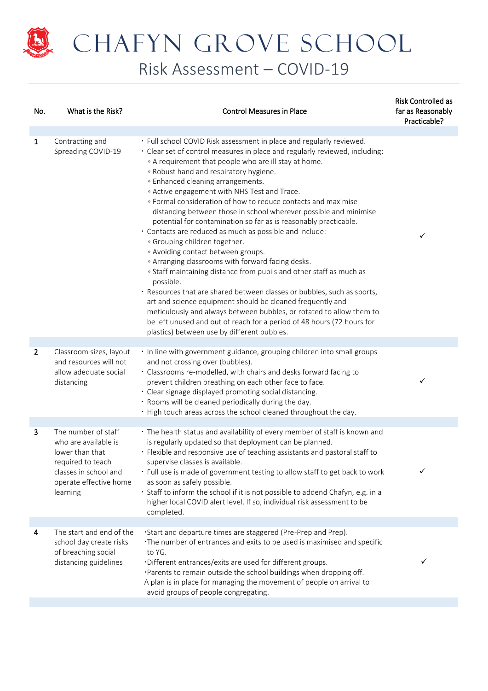

## CHAFYN GROVE SCHOOL

Risk Assessment – COVID-19

| No.            | What is the Risk?                                                                                                                                  | <b>Control Measures in Place</b>                                                                                                                                                                                                                                                                                                                                                                                                                                                                                                                                                                                                                                                                                                                                                                                                                                                                                                                                                                                                                                                                                                                                           | <b>Risk Controlled as</b><br>far as Reasonably<br>Practicable? |
|----------------|----------------------------------------------------------------------------------------------------------------------------------------------------|----------------------------------------------------------------------------------------------------------------------------------------------------------------------------------------------------------------------------------------------------------------------------------------------------------------------------------------------------------------------------------------------------------------------------------------------------------------------------------------------------------------------------------------------------------------------------------------------------------------------------------------------------------------------------------------------------------------------------------------------------------------------------------------------------------------------------------------------------------------------------------------------------------------------------------------------------------------------------------------------------------------------------------------------------------------------------------------------------------------------------------------------------------------------------|----------------------------------------------------------------|
| $\mathbf{1}$   | Contracting and<br>Spreading COVID-19                                                                                                              | · Full school COVID Risk assessment in place and regularly reviewed.<br>· Clear set of control measures in place and regularly reviewed, including:<br>• A requirement that people who are ill stay at home.<br>. Robust hand and respiratory hygiene.<br>• Enhanced cleaning arrangements.<br>• Active engagement with NHS Test and Trace.<br>. Formal consideration of how to reduce contacts and maximise<br>distancing between those in school wherever possible and minimise<br>potential for contamination so far as is reasonably practicable.<br>· Contacts are reduced as much as possible and include:<br>· Grouping children together.<br>• Avoiding contact between groups.<br>• Arranging classrooms with forward facing desks.<br>· Staff maintaining distance from pupils and other staff as much as<br>possible.<br>· Resources that are shared between classes or bubbles, such as sports,<br>art and science equipment should be cleaned frequently and<br>meticulously and always between bubbles, or rotated to allow them to<br>be left unused and out of reach for a period of 48 hours (72 hours for<br>plastics) between use by different bubbles. | $\checkmark$                                                   |
| $\overline{2}$ | Classroom sizes, layout<br>and resources will not<br>allow adequate social<br>distancing                                                           | · In line with government guidance, grouping children into small groups<br>and not crossing over (bubbles).<br>· Classrooms re-modelled, with chairs and desks forward facing to<br>prevent children breathing on each other face to face.<br>· Clear signage displayed promoting social distancing.<br>· Rooms will be cleaned periodically during the day.<br>• High touch areas across the school cleaned throughout the day.                                                                                                                                                                                                                                                                                                                                                                                                                                                                                                                                                                                                                                                                                                                                           | ✓                                                              |
| 3              | The number of staff<br>who are available is<br>lower than that<br>required to teach<br>classes in school and<br>operate effective home<br>learning | · The health status and availability of every member of staff is known and<br>is regularly updated so that deployment can be planned.<br>· Flexible and responsive use of teaching assistants and pastoral staff to<br>supervise classes is available.<br>· Full use is made of government testing to allow staff to get back to work<br>as soon as safely possible.<br>· Staff to inform the school if it is not possible to addend Chafyn, e.g. in a<br>higher local COVID alert level. If so, individual risk assessment to be<br>completed.                                                                                                                                                                                                                                                                                                                                                                                                                                                                                                                                                                                                                            | ✓                                                              |
| 4              | The start and end of the<br>school day create risks<br>of breaching social<br>distancing guidelines                                                | ·Start and departure times are staggered (Pre-Prep and Prep).<br>·The number of entrances and exits to be used is maximised and specific<br>to YG.<br>·Different entrances/exits are used for different groups.<br>·Parents to remain outside the school buildings when dropping off.<br>A plan is in place for managing the movement of people on arrival to<br>avoid groups of people congregating.                                                                                                                                                                                                                                                                                                                                                                                                                                                                                                                                                                                                                                                                                                                                                                      | ✓                                                              |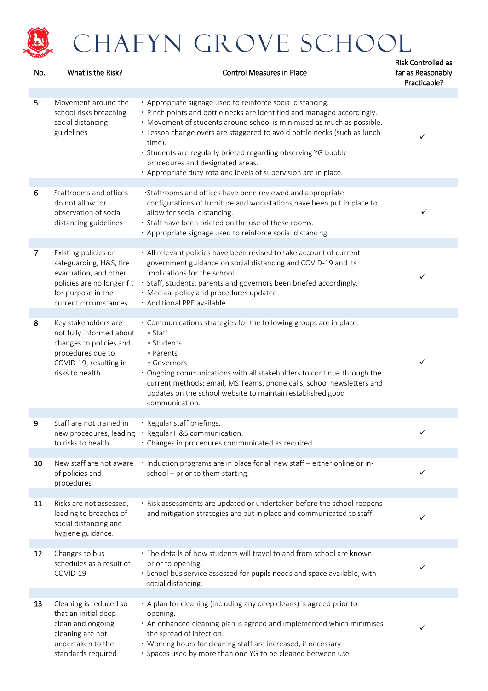

| No. | What is the Risk?                                                                                                                                     | <b>Control Measures in Place</b>                                                                                                                                                                                                                                                                                                                                                                                                                                               | far as Reasonably<br>Practicable? |
|-----|-------------------------------------------------------------------------------------------------------------------------------------------------------|--------------------------------------------------------------------------------------------------------------------------------------------------------------------------------------------------------------------------------------------------------------------------------------------------------------------------------------------------------------------------------------------------------------------------------------------------------------------------------|-----------------------------------|
| 5   | Movement around the<br>school risks breaching<br>social distancing<br>guidelines                                                                      | · Appropriate signage used to reinforce social distancing.<br>· Pinch points and bottle necks are identified and managed accordingly.<br>· Movement of students around school is minimised as much as possible.<br>· Lesson change overs are staggered to avoid bottle necks (such as lunch<br>time).<br>· Students are regularly briefed regarding observing YG bubble<br>procedures and designated areas.<br>· Appropriate duty rota and levels of supervision are in place. | ✓                                 |
| 6   | Staffrooms and offices<br>do not allow for<br>observation of social<br>distancing guidelines                                                          | ·Staffrooms and offices have been reviewed and appropriate<br>configurations of furniture and workstations have been put in place to<br>allow for social distancing.<br>· Staff have been briefed on the use of these rooms.<br>· Appropriate signage used to reinforce social distancing.                                                                                                                                                                                     | ✓                                 |
| 7   | Existing policies on<br>safeguarding, H&S, fire<br>evacuation, and other<br>policies are no longer fit<br>for purpose in the<br>current circumstances | · All relevant policies have been revised to take account of current<br>government guidance on social distancing and COVID-19 and its<br>implications for the school.<br>· Staff, students, parents and governors been briefed accordingly.<br>· Medical policy and procedures updated.<br>· Additional PPE available.                                                                                                                                                         | ✓                                 |
| 8   | Key stakeholders are<br>not fully informed about<br>changes to policies and<br>procedures due to<br>COVID-19, resulting in<br>risks to health         | · Communications strategies for the following groups are in place:<br>∘ Staff<br>• Students<br>• Parents<br>• Governors<br>• Ongoing communications with all stakeholders to continue through the<br>current methods: email, MS Teams, phone calls, school newsletters and<br>updates on the school website to maintain established good<br>communication.                                                                                                                     | ✓                                 |
| 9   | Staff are not trained in<br>to risks to health                                                                                                        | · Regular staff briefings.<br>new procedures, leading · Regular H&S communication.<br>· Changes in procedures communicated as required.                                                                                                                                                                                                                                                                                                                                        | $\checkmark$                      |
| 10  | New staff are not aware<br>of policies and<br>procedures                                                                                              | · Induction programs are in place for all new staff - either online or in-<br>school - prior to them starting.                                                                                                                                                                                                                                                                                                                                                                 | ✓                                 |
| 11  | Risks are not assessed,<br>leading to breaches of<br>social distancing and<br>hygiene guidance.                                                       | · Risk assessments are updated or undertaken before the school reopens<br>and mitigation strategies are put in place and communicated to staff.                                                                                                                                                                                                                                                                                                                                | ✓                                 |
| 12  | Changes to bus<br>schedules as a result of<br>COVID-19                                                                                                | · The details of how students will travel to and from school are known<br>prior to opening.<br>· School bus service assessed for pupils needs and space available, with<br>social distancing.                                                                                                                                                                                                                                                                                  | ✓                                 |
| 13  | Cleaning is reduced so<br>that an initial deep-<br>clean and ongoing<br>cleaning are not<br>undertaken to the<br>standards required                   | · A plan for cleaning (including any deep cleans) is agreed prior to<br>opening.<br>. An enhanced cleaning plan is agreed and implemented which minimises<br>the spread of infection.<br>• Working hours for cleaning staff are increased, if necessary.<br>· Spaces used by more than one YG to be cleaned between use.                                                                                                                                                       | ✓                                 |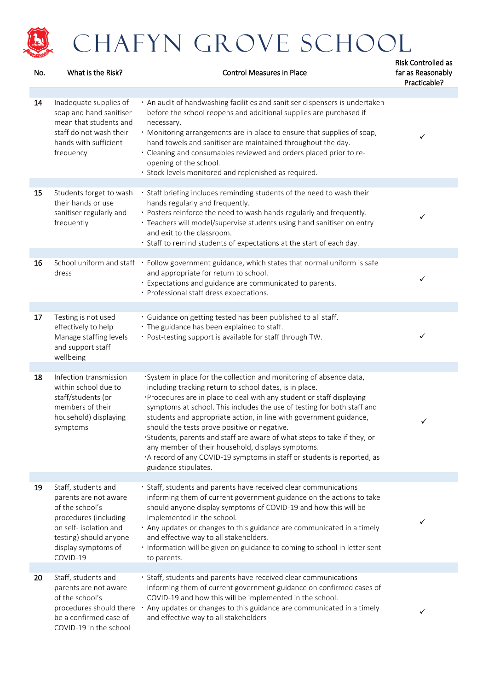

### CHAFYN GROVE SCHOOL

| No. | What is the Risk?                                                                                                                                                               | <b>Control Measures in Place</b>                                                                                                                                                                                                                                                                                                                                                                                                                                                                                                                                                                                                            | <b>Risk Controlled as</b><br>far as Reasonably<br>Practicable? |
|-----|---------------------------------------------------------------------------------------------------------------------------------------------------------------------------------|---------------------------------------------------------------------------------------------------------------------------------------------------------------------------------------------------------------------------------------------------------------------------------------------------------------------------------------------------------------------------------------------------------------------------------------------------------------------------------------------------------------------------------------------------------------------------------------------------------------------------------------------|----------------------------------------------------------------|
| 14  | Inadequate supplies of<br>soap and hand sanitiser<br>mean that students and<br>staff do not wash their<br>hands with sufficient<br>frequency                                    | · An audit of handwashing facilities and sanitiser dispensers is undertaken<br>before the school reopens and additional supplies are purchased if<br>necessary.<br>· Monitoring arrangements are in place to ensure that supplies of soap,<br>hand towels and sanitiser are maintained throughout the day.<br>· Cleaning and consumables reviewed and orders placed prior to re-<br>opening of the school.<br>· Stock levels monitored and replenished as required.                                                                                                                                                                         | ✓                                                              |
| 15  | Students forget to wash<br>their hands or use<br>sanitiser regularly and<br>frequently                                                                                          | · Staff briefing includes reminding students of the need to wash their<br>hands regularly and frequently.<br>· Posters reinforce the need to wash hands regularly and frequently.<br>· Teachers will model/supervise students using hand sanitiser on entry<br>and exit to the classroom.<br>· Staff to remind students of expectations at the start of each day.                                                                                                                                                                                                                                                                           | ✓                                                              |
| 16  | dress                                                                                                                                                                           | School uniform and staff • Follow government guidance, which states that normal uniform is safe<br>and appropriate for return to school.<br>· Expectations and guidance are communicated to parents.<br>· Professional staff dress expectations.                                                                                                                                                                                                                                                                                                                                                                                            | ✓                                                              |
| 17  | Testing is not used<br>effectively to help<br>Manage staffing levels<br>and support staff<br>wellbeing                                                                          | · Guidance on getting tested has been published to all staff.<br>· The guidance has been explained to staff.<br>· Post-testing support is available for staff through TW.                                                                                                                                                                                                                                                                                                                                                                                                                                                                   | ✓                                                              |
| 18  | Infection transmission<br>within school due to<br>staff/students (or<br>members of their<br>household) displaying<br>symptoms                                                   | ·System in place for the collection and monitoring of absence data,<br>including tracking return to school dates, is in place.<br>·Procedures are in place to deal with any student or staff displaying<br>symptoms at school. This includes the use of testing for both staff and<br>students and appropriate action, in line with government guidance,<br>should the tests prove positive or negative.<br>·Students, parents and staff are aware of what steps to take if they, or<br>any member of their household, displays symptoms.<br>A record of any COVID-19 symptoms in staff or students is reported, as<br>guidance stipulates. | ✓                                                              |
| 19  | Staff, students and<br>parents are not aware<br>of the school's<br>procedures (including<br>on self- isolation and<br>testing) should anyone<br>display symptoms of<br>COVID-19 | · Staff, students and parents have received clear communications<br>informing them of current government guidance on the actions to take<br>should anyone display symptoms of COVID-19 and how this will be<br>implemented in the school.<br>. Any updates or changes to this guidance are communicated in a timely<br>and effective way to all stakeholders.<br>· Information will be given on guidance to coming to school in letter sent<br>to parents.                                                                                                                                                                                  | ✓                                                              |
| 20  | Staff, students and<br>parents are not aware<br>of the school's<br>procedures should there<br>be a confirmed case of<br>COVID-19 in the school                                  | · Staff, students and parents have received clear communications<br>informing them of current government guidance on confirmed cases of<br>COVID-19 and how this will be implemented in the school.<br>Any updates or changes to this guidance are communicated in a timely<br>and effective way to all stakeholders                                                                                                                                                                                                                                                                                                                        | ✓                                                              |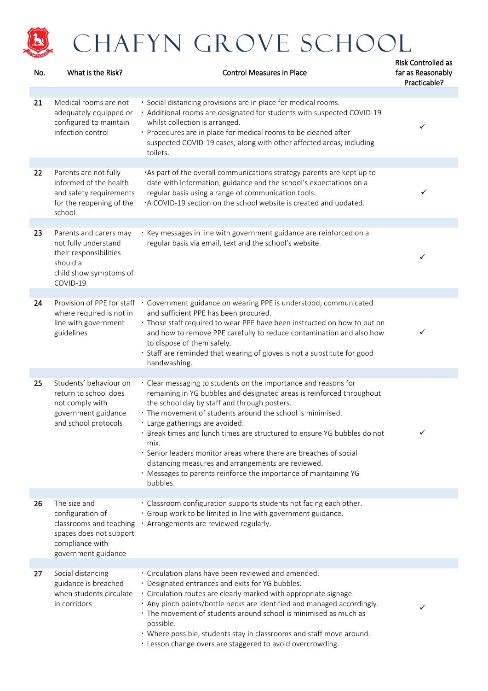

| No. | What is the Risk?                                                                                                                | <b>Control Measures in Place</b>                                                                                                                                                                                                                                                                                                                                                                                                                                                                                                                                                         | far as Reasonably<br>Practicable? |
|-----|----------------------------------------------------------------------------------------------------------------------------------|------------------------------------------------------------------------------------------------------------------------------------------------------------------------------------------------------------------------------------------------------------------------------------------------------------------------------------------------------------------------------------------------------------------------------------------------------------------------------------------------------------------------------------------------------------------------------------------|-----------------------------------|
| 21  | Medical rooms are not<br>adequately equipped or<br>configured to maintain<br>infection control                                   | · Social distancing provisions are in place for medical rooms.<br>· Additional rooms are designated for students with suspected COVID-19<br>whilst collection is arranged.<br>· Procedures are in place for medical rooms to be cleaned after<br>suspected COVID-19 cases, along with other affected areas, including<br>toilets.                                                                                                                                                                                                                                                        | ✓                                 |
| 22  | Parents are not fully<br>informed of the health<br>and safety requirements<br>for the reopening of the<br>school                 | · As part of the overall communications strategy parents are kept up to<br>date with information, guidance and the school's expectations on a<br>regular basis using a range of communication tools.<br>·A COVID-19 section on the school website is created and updated.                                                                                                                                                                                                                                                                                                                | ✓                                 |
| 23  | Parents and carers may<br>not fully understand<br>their responsibilities<br>should a<br>child show symptoms of<br>COVID-19       | · Key messages in line with government guidance are reinforced on a<br>regular basis via email, text and the school's website.                                                                                                                                                                                                                                                                                                                                                                                                                                                           | ✓                                 |
| 24  | Provision of PPE for staff<br>where required is not in<br>line with government<br>guidelines                                     | · Government guidance on wearing PPE is understood, communicated<br>and sufficient PPE has been procured.<br>· Those staff required to wear PPE have been instructed on how to put on<br>and how to remove PPE carefully to reduce contamination and also how<br>to dispose of them safely.<br>· Staff are reminded that wearing of gloves is not a substitute for good<br>handwashing.                                                                                                                                                                                                  | ✓                                 |
| 25  | Students' behaviour on<br>return to school does<br>not comply with<br>government guidance<br>and school protocols                | • Clear messaging to students on the importance and reasons for<br>remaining in YG bubbles and designated areas is reinforced throughout<br>the school day by staff and through posters.<br>· The movement of students around the school is minimised.<br>· Large gatherings are avoided.<br>· Break times and lunch times are structured to ensure YG bubbles do not<br>mix.<br>· Senior leaders monitor areas where there are breaches of social<br>distancing measures and arrangements are reviewed.<br>. Messages to parents reinforce the importance of maintaining YG<br>bubbles. |                                   |
| 26  | The size and<br>configuration of<br>classrooms and teaching<br>spaces does not support<br>compliance with<br>government guidance | · Classroom configuration supports students not facing each other.<br>· Group work to be limited in line with government guidance.<br>· Arrangements are reviewed regularly.                                                                                                                                                                                                                                                                                                                                                                                                             |                                   |
| 27  | Social distancing<br>guidance is breached<br>when students circulate<br>in corridors                                             | · Circulation plans have been reviewed and amended.<br>· Designated entrances and exits for YG bubbles.<br>· Circulation routes are clearly marked with appropriate signage.<br>. Any pinch points/bottle necks are identified and managed accordingly.<br>· The movement of students around school is minimised as much as<br>possible.<br>· Where possible, students stay in classrooms and staff move around.<br>· Lesson change overs are staggered to avoid overcrowding.                                                                                                           | ✓                                 |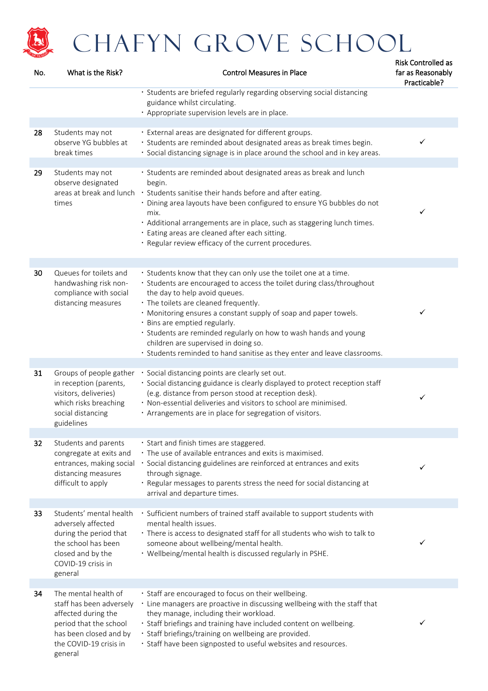

| No. | What is the Risk?                                                                                                                                                | <b>Control Measures in Place</b>                                                                                                                                                                                                                                                                                                                                                                                                                                                                                  | far as Reasonably<br>Practicable? |
|-----|------------------------------------------------------------------------------------------------------------------------------------------------------------------|-------------------------------------------------------------------------------------------------------------------------------------------------------------------------------------------------------------------------------------------------------------------------------------------------------------------------------------------------------------------------------------------------------------------------------------------------------------------------------------------------------------------|-----------------------------------|
|     |                                                                                                                                                                  | · Students are briefed regularly regarding observing social distancing<br>guidance whilst circulating.<br>· Appropriate supervision levels are in place.                                                                                                                                                                                                                                                                                                                                                          |                                   |
| 28  | Students may not<br>observe YG bubbles at<br>break times                                                                                                         | · External areas are designated for different groups.<br>· Students are reminded about designated areas as break times begin.<br>· Social distancing signage is in place around the school and in key areas.                                                                                                                                                                                                                                                                                                      | ✓                                 |
| 29  | Students may not<br>observe designated<br>areas at break and lunch<br>times                                                                                      | · Students are reminded about designated areas as break and lunch<br>begin.<br>· Students sanitise their hands before and after eating.<br>· Dining area layouts have been configured to ensure YG bubbles do not<br>mix.<br>· Additional arrangements are in place, such as staggering lunch times.<br>· Eating areas are cleaned after each sitting.<br>· Regular review efficacy of the current procedures.                                                                                                    | ✓                                 |
| 30  | Queues for toilets and<br>handwashing risk non-<br>compliance with social<br>distancing measures                                                                 | · Students know that they can only use the toilet one at a time.<br>· Students are encouraged to access the toilet during class/throughout<br>the day to help avoid queues.<br>· The toilets are cleaned frequently.<br>. Monitoring ensures a constant supply of soap and paper towels.<br>· Bins are emptied regularly.<br>· Students are reminded regularly on how to wash hands and young<br>children are supervised in doing so.<br>· Students reminded to hand sanitise as they enter and leave classrooms. | ✓                                 |
| 31  | Groups of people gather<br>in reception (parents,<br>visitors, deliveries)<br>which risks breaching<br>social distancing<br>guidelines                           | · Social distancing points are clearly set out.<br>· Social distancing guidance is clearly displayed to protect reception staff<br>(e.g. distance from person stood at reception desk).<br>· Non-essential deliveries and visitors to school are minimised.<br>· Arrangements are in place for segregation of visitors.                                                                                                                                                                                           | ✓                                 |
| 32  | Students and parents<br>congregate at exits and<br>entrances, making social<br>distancing measures<br>difficult to apply                                         | · Start and finish times are staggered.<br>· The use of available entrances and exits is maximised.<br>· Social distancing guidelines are reinforced at entrances and exits<br>through signage.<br>· Regular messages to parents stress the need for social distancing at<br>arrival and departure times.                                                                                                                                                                                                         | ✓                                 |
| 33  | Students' mental health<br>adversely affected<br>during the period that<br>the school has been<br>closed and by the<br>COVID-19 crisis in<br>general             | · Sufficient numbers of trained staff available to support students with<br>mental health issues.<br>· There is access to designated staff for all students who wish to talk to<br>someone about wellbeing/mental health.<br>· Wellbeing/mental health is discussed regularly in PSHE.                                                                                                                                                                                                                            | ✓                                 |
| 34  | The mental health of<br>staff has been adversely<br>affected during the<br>period that the school<br>has been closed and by<br>the COVID-19 crisis in<br>general | · Staff are encouraged to focus on their wellbeing.<br>. Line managers are proactive in discussing wellbeing with the staff that<br>they manage, including their workload.<br>· Staff briefings and training have included content on wellbeing.<br>· Staff briefings/training on wellbeing are provided.<br>· Staff have been signposted to useful websites and resources.                                                                                                                                       | ✓                                 |